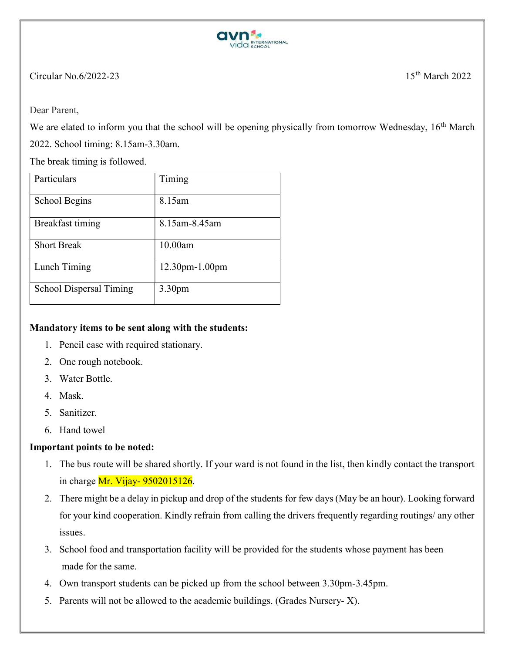

## Circular No.6/2022-23  $15<sup>th</sup> March 2022$

Dear Parent,

We are elated to inform you that the school will be opening physically from tomorrow Wednesday, 16<sup>th</sup> March

2022. School timing: 8.15am-3.30am.

The break timing is followed.

| Particulars             | Timing                |
|-------------------------|-----------------------|
| School Begins           | 8.15am                |
| Breakfast timing        | 8.15am-8.45am         |
| <b>Short Break</b>      | 10.00am               |
| Lunch Timing            | $12.30$ pm- $1.00$ pm |
| School Dispersal Timing | 3.30 <sub>pm</sub>    |

## Mandatory items to be sent along with the students:

- 1. Pencil case with required stationary.
- 2. One rough notebook.
- 3. Water Bottle.
- 4. Mask.
- 5. Sanitizer.
- 6. Hand towel

## Important points to be noted:

- 1. The bus route will be shared shortly. If your ward is not found in the list, then kindly contact the transport in charge  $Mr.$  Vijay- 9502015126.
- 2. There might be a delay in pickup and drop of the students for few days (May be an hour). Looking forward for your kind cooperation. Kindly refrain from calling the drivers frequently regarding routings/ any other issues.
- 3. School food and transportation facility will be provided for the students whose payment has been made for the same.
- 4. Own transport students can be picked up from the school between 3.30pm-3.45pm.
- 5. Parents will not be allowed to the academic buildings. (Grades Nursery- X).